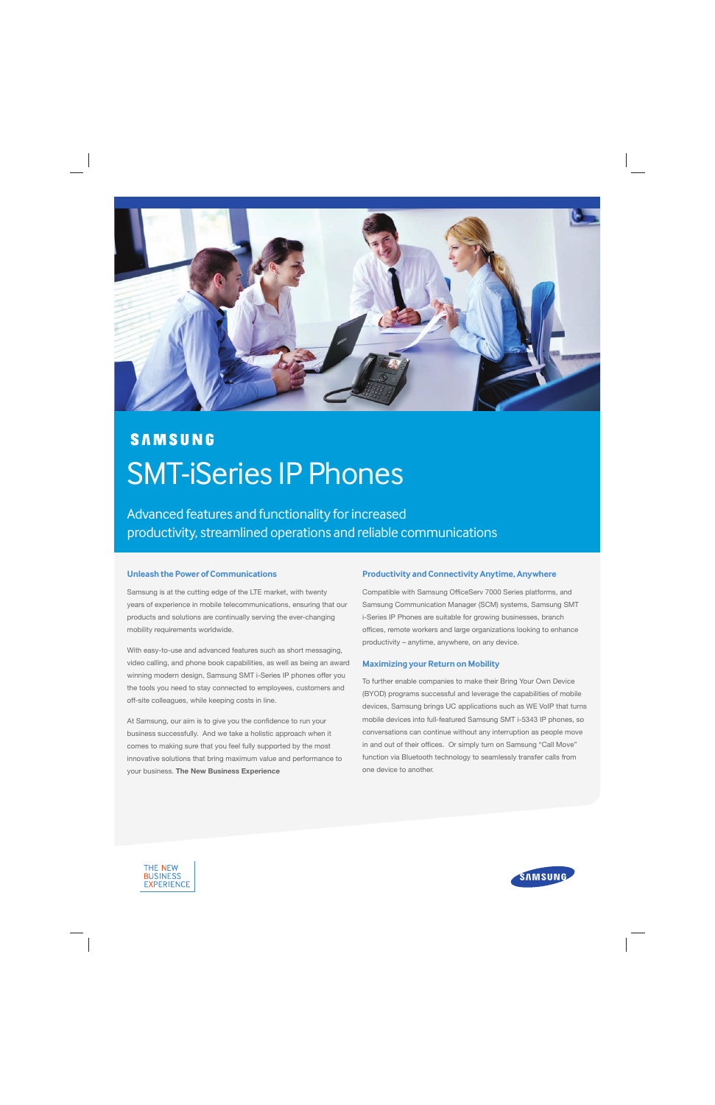

# **SAMSUNG** SMT-iSeries IP Phones

Advanced features and functionality for increased productivity, streamlined operations and reliable communications

# **Unleash the Power of Communications**

Samsung is at the cutting edge of the LTE market, with twenty years of experience in mobile telecommunications, ensuring that our products and solutions are continually serving the ever-changing mobility requirements worldwide.

With easy-to-use and advanced features such as short messaging, video calling, and phone book capabilities, as well as being an award winning modern design, Samsung SMT i-Series IP phones offer you the tools you need to stay connected to employees, customers and off-site colleagues, while keeping costs in line.

At Samsung, our aim is to give you the confidence to run your business successfully. And we take a holistic approach when it comes to making sure that you feel fully supported by the most innovative solutions that bring maximum value and performance to your business. The New Business Experience

#### **Productivity and Connectivity Anytime, Anywhere**

Compatible with Samsung OfficeServ 7000 Series platforms, and Samsung Communication Manager (SCM) systems, Samsung SMT i-Series IP Phones are suitable for growing businesses, branch offices, remote workers and large organizations looking to enhance productivity – anytime, anywhere, on any device.

#### **Maximizing your Return on Mobility**

To further enable companies to make their Bring Your Own Device (BYOD) programs successful and leverage the capabilities of mobile devices, Samsung brings UC applications such as WE VoIP that turns mobile devices into full-featured Samsung SMT i-5343 IP phones, so conversations can continue without any interruption as people move in and out of their offices. Or simply turn on Samsung "Call Move" function via Bluetooth technology to seamlessly transfer calls from one device to another.



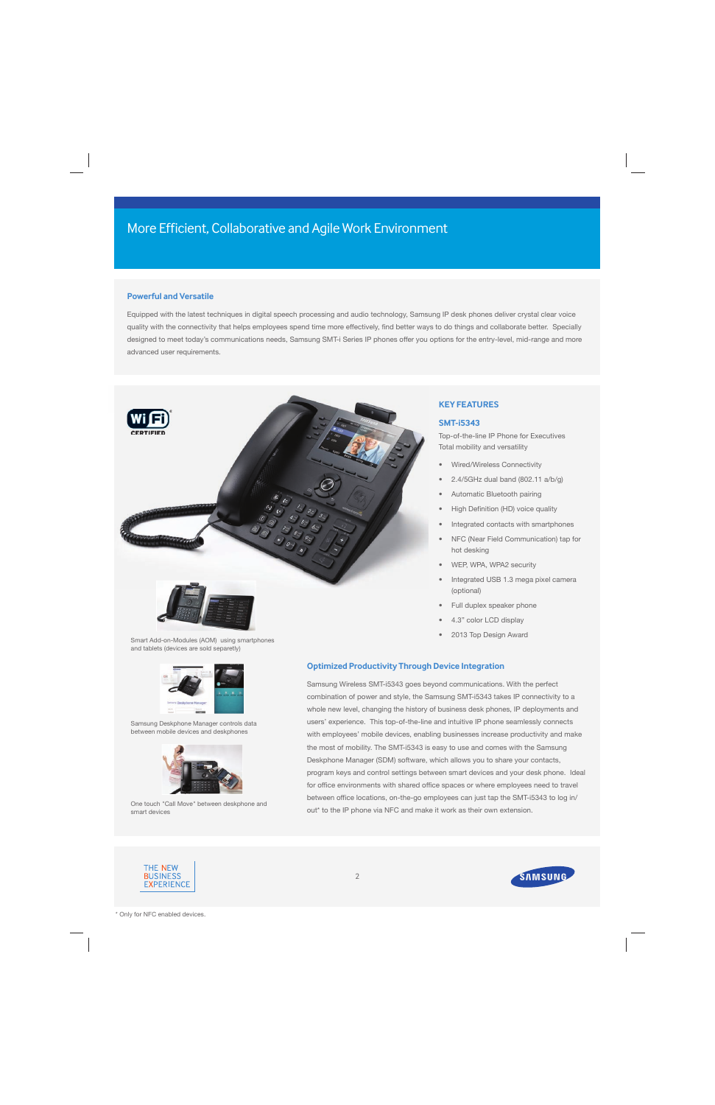# **Powerful and Versatile**

Equipped with the latest techniques in digital speech processing and audio technology, Samsung IP desk phones deliver crystal clear voice quality with the connectivity that helps employees spend time more effectively, find better ways to do things and collaborate better. Specially designed to meet today's communications needs, Samsung SMT-i Series IP phones offer you options for the entry-level, mid-range and more advanced user requirements.



# **KEY FEATURES**

#### **SMT-i5343**

Top-of-the-line IP Phone for Executives Total mobility and versatility

- Wired/Wireless Connectivity
- 2.4/5GHz dual band (802.11 a/b/g)
- Automatic Bluetooth pairing
- High Definition (HD) voice quality
- Integrated contacts with smartphones
- NFC (Near Field Communication) tap for hot desking
- WEP, WPA, WPA2 security
- Integrated USB 1.3 mega pixel camera (optional)
- Full duplex speaker phone
- 4.3" color LCD display
- 2013 Top Design Award

Smart Add-on-Modules (AOM) using smartphones and tablets (devices are sold separetly)



Samsung Deskphone Manager controls data between mobile devices and deskphones



One touch "Call Move" between deskphone and smart devices

# **Optimized Productivity Through Device Integration**

Samsung Wireless SMT-i5343 goes beyond communications. With the perfect combination of power and style, the Samsung SMT-i5343 takes IP connectivity to a whole new level, changing the history of business desk phones, IP deployments and users' experience. This top-of-the-line and intuitive IP phone seamlessly connects with employees' mobile devices, enabling businesses increase productivity and make the most of mobility. The SMT-i5343 is easy to use and comes with the Samsung Deskphone Manager (SDM) software, which allows you to share your contacts, program keys and control settings between smart devices and your desk phone. Ideal for office environments with shared office spaces or where employees need to travel between office locations, on-the-go employees can just tap the SMT-i5343 to log in/ out\* to the IP phone via NFC and make it work as their own extension.



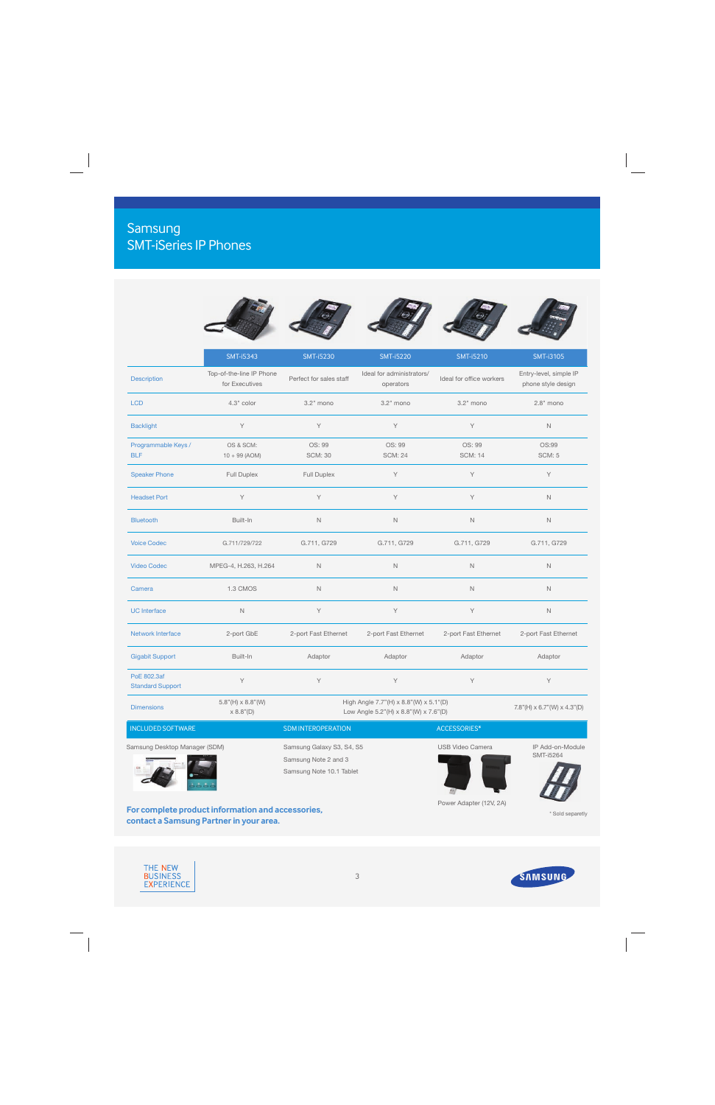# Samsung SMT-iSeries IP Phones

|                                        | <b>SMT-i5343</b>                           | <b>SMT-i5230</b>                                                                | <b>SMT-i5220</b>                       | <b>SMT-i5210</b>         | <b>SMT-i3105</b>                              |
|----------------------------------------|--------------------------------------------|---------------------------------------------------------------------------------|----------------------------------------|--------------------------|-----------------------------------------------|
| Description                            | Top-of-the-line IP Phone<br>for Executives | Perfect for sales staff                                                         | Ideal for administrators/<br>operators | Ideal for office workers | Entry-level, simple IP<br>phone style design  |
| <b>LCD</b>                             | 4.3" color                                 | 3.2" mono                                                                       | 3.2" mono                              | 3.2" mono                | $2.8"$ mono                                   |
| <b>Backlight</b>                       | Y                                          | Y                                                                               | Y                                      | Y                        | $\mathsf{N}$                                  |
| Programmable Keys /<br><b>BLF</b>      | OS & SCM:<br>$10 + 99$ (AOM)               | OS: 99<br><b>SCM: 30</b>                                                        | OS: 99<br><b>SCM: 24</b>               | OS: 99<br><b>SCM: 14</b> | OS:99<br><b>SCM: 5</b>                        |
| <b>Speaker Phone</b>                   | Full Duplex                                | Full Duplex                                                                     | Υ                                      | Y                        | Υ                                             |
| <b>Headset Port</b>                    | Y                                          | Y                                                                               | Y                                      | Y                        | $\mathbb N$                                   |
| <b>Bluetooth</b>                       | Built-In                                   | $\mathsf{N}$                                                                    | $\mathbb N$                            | $\mathbb N$              | $\mathbb N$                                   |
| <b>Voice Codec</b>                     | G.711/729/722                              | G.711, G729                                                                     | G.711, G729                            | G.711, G729              | G.711, G729                                   |
| <b>Video Codec</b>                     | MPEG-4, H.263, H.264                       | $\mathbb N$                                                                     | $\mathbb N$                            | N                        | $\mathsf{N}$                                  |
| Camera                                 | 1.3 CMOS                                   | $\mathbb N$                                                                     | $\mathbb N$                            | $\mathbb N$              | $\mathbb N$                                   |
| <b>UC</b> Interface                    | $\mathbb N$                                | Y                                                                               | Υ                                      | Y                        | $\mathbb N$                                   |
| <b>Network Interface</b>               | 2-port GbE                                 | 2-port Fast Ethernet                                                            | 2-port Fast Ethernet                   | 2-port Fast Ethernet     | 2-port Fast Ethernet                          |
| <b>Gigabit Support</b>                 | Built-In                                   | Adaptor                                                                         | Adaptor                                | Adaptor                  | Adaptor                                       |
| PoE 802.3af<br><b>Standard Support</b> | Y                                          | Y                                                                               | Υ                                      | Y                        | Υ                                             |
| <b>Dimensions</b>                      | $5.8"$ (H) $\times$ 8.8"(W)<br>x 8.8" (D)  | High Angle 7.7"(H) x 8.8"(W) x 5.1"(D)<br>Low Angle 5.2"(H) x 8.8"(W) x 7.6"(D) |                                        |                          | $7.8''$ (H) $\times$ 6.7"(W) $\times$ 4.3"(D) |
| <b>INCLUDED SOFTWARE</b>               |                                            | SDM INTEROPERATION<br>ACCESSORIES*                                              |                                        |                          |                                               |
| Samsung Desktop Manager (SDM)          |                                            | Samsung Galaxy S3, S4, S5<br>Samsung Note 2 and 3<br>Samsung Note 10.1 Tablet   |                                        | <b>USB Video Camera</b>  | IP Add-on-Module<br>SMT-i5264                 |

**For complete product information and accessories, contact a Samsung Partner in your area.**

**Parties of the Company's Service** Power Adapter (12V, 2A)

41

\* Sold separetly